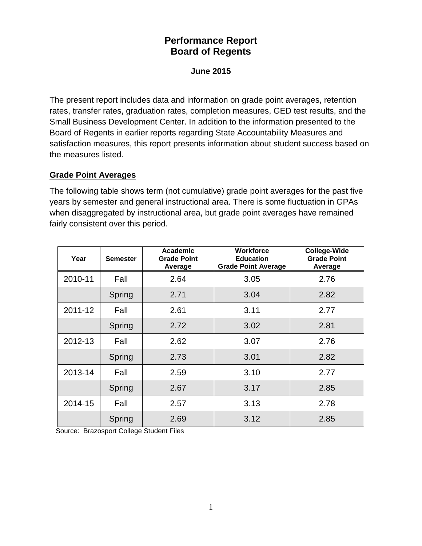# **Performance Report Board of Regents**

#### **June 2015**

The present report includes data and information on grade point averages, retention rates, transfer rates, graduation rates, completion measures, GED test results, and the Small Business Development Center. In addition to the information presented to the Board of Regents in earlier reports regarding State Accountability Measures and satisfaction measures, this report presents information about student success based on the measures listed.

#### **Grade Point Averages**

The following table shows term (not cumulative) grade point averages for the past five years by semester and general instructional area. There is some fluctuation in GPAs when disaggregated by instructional area, but grade point averages have remained fairly consistent over this period.

| Year    | <b>Semester</b> | Academic<br><b>Grade Point</b><br>Average | <b>Workforce</b><br><b>Education</b><br><b>Grade Point Average</b> | <b>College-Wide</b><br><b>Grade Point</b><br>Average |  |
|---------|-----------------|-------------------------------------------|--------------------------------------------------------------------|------------------------------------------------------|--|
| 2010-11 | Fall            | 2.64                                      | 3.05                                                               | 2.76                                                 |  |
|         | Spring          | 2.71                                      | 3.04                                                               | 2.82                                                 |  |
| 2011-12 | Fall            | 2.61                                      | 3.11                                                               | 2.77                                                 |  |
|         | Spring          | 2.72                                      | 3.02                                                               | 2.81                                                 |  |
| 2012-13 | Fall            | 2.62                                      | 3.07                                                               | 2.76                                                 |  |
|         | Spring          | 2.73                                      | 3.01                                                               | 2.82                                                 |  |
| 2013-14 | Fall            | 2.59                                      | 3.10                                                               | 2.77                                                 |  |
|         | Spring          | 2.67                                      | 3.17                                                               | 2.85                                                 |  |
| 2014-15 | Fall            | 2.57                                      | 3.13                                                               | 2.78                                                 |  |
|         | Spring          | 2.69                                      | 3.12                                                               | 2.85                                                 |  |

Source: Brazosport College Student Files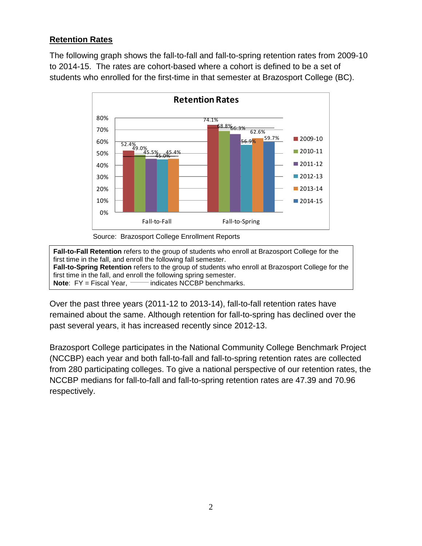## **Retention Rates**

The following graph shows the fall-to-fall and fall-to-spring retention rates from 2009-10 to 2014-15. The rates are cohort-based where a cohort is defined to be a set of students who enrolled for the first-time in that semester at Brazosport College (BC).



Source: Brazosport College Enrollment Reports

**Fall-to-Fall Retention** refers to the group of students who enroll at Brazosport College for the first time in the fall, and enroll the following fall semester. **Fall-to-Spring Retention** refers to the group of students who enroll at Brazosport College for the first time in the fall, and enroll the following spring semester. **Note:** FY = Fiscal Year, **indicates NCCBP** benchmarks.

Over the past three years (2011-12 to 2013-14), fall-to-fall retention rates have remained about the same. Although retention for fall-to-spring has declined over the past several years, it has increased recently since 2012-13.

Brazosport College participates in the National Community College Benchmark Project (NCCBP) each year and both fall-to-fall and fall-to-spring retention rates are collected from 280 participating colleges. To give a national perspective of our retention rates, the NCCBP medians for fall-to-fall and fall-to-spring retention rates are 47.39 and 70.96 respectively.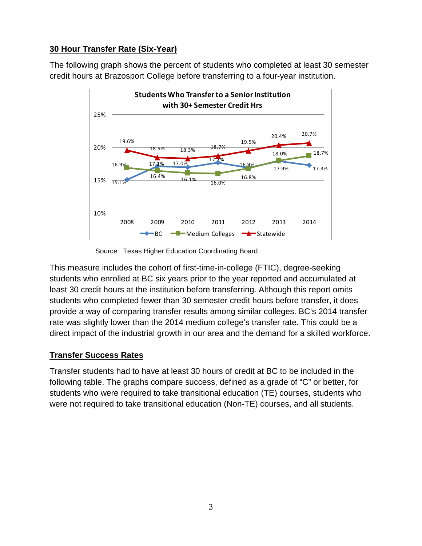## **30 Hour Transfer Rate (Six-Year)**

The following graph shows the percent of students who completed at least 30 semester credit hours at Brazosport College before transferring to a four-year institution.



Source: Texas Higher Education Coordinating Board

This measure includes the cohort of first-time-in-college (FTIC), degree-seeking students who enrolled at BC six years prior to the year reported and accumulated at least 30 credit hours at the institution before transferring. Although this report omits students who completed fewer than 30 semester credit hours before transfer, it does provide a way of comparing transfer results among similar colleges. BC's 2014 transfer rate was slightly lower than the 2014 medium college's transfer rate. This could be a direct impact of the industrial growth in our area and the demand for a skilled workforce.

### **Transfer Success Rates**

Transfer students had to have at least 30 hours of credit at BC to be included in the following table. The graphs compare success, defined as a grade of "C" or better, for students who were required to take transitional education (TE) courses, students who were not required to take transitional education (Non-TE) courses, and all students.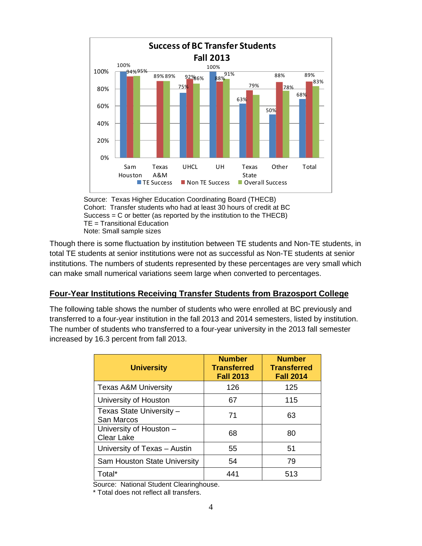

Source: Texas Higher Education Coordinating Board (THECB) Cohort: Transfer students who had at least 30 hours of credit at BC Success = C or better (as reported by the institution to the THECB) TE = Transitional Education Note: Small sample sizes

Though there is some fluctuation by institution between TE students and Non-TE students, in total TE students at senior institutions were not as successful as Non-TE students at senior institutions. The numbers of students represented by these percentages are very small which can make small numerical variations seem large when converted to percentages.

#### **Four-Year Institutions Receiving Transfer Students from Brazosport College**

The following table shows the number of students who were enrolled at BC previously and transferred to a four-year institution in the fall 2013 and 2014 semesters, listed by institution. The number of students who transferred to a four-year university in the 2013 fall semester increased by 16.3 percent from fall 2013.

| <b>University</b>                            | <b>Number</b><br><b>Transferred</b><br><b>Fall 2013</b> | <b>Number</b><br><b>Transferred</b><br><b>Fall 2014</b> |
|----------------------------------------------|---------------------------------------------------------|---------------------------------------------------------|
| <b>Texas A&amp;M University</b>              | 126                                                     | 125                                                     |
| University of Houston                        | 67                                                      | 115                                                     |
| Texas State University -<br>San Marcos       | 71                                                      | 63                                                      |
| University of Houston -<br><b>Clear Lake</b> | 68                                                      | 80                                                      |
| University of Texas - Austin                 | 55                                                      | 51                                                      |
| Sam Houston State University                 | 54                                                      | 79                                                      |
| Total*                                       | 441                                                     | 513                                                     |

Source: National Student Clearinghouse.

\* Total does not reflect all transfers.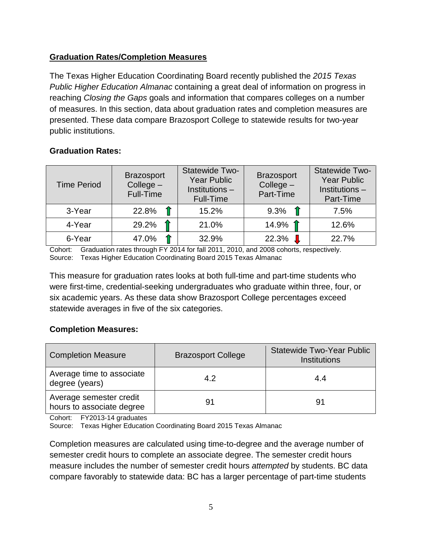### **Graduation Rates/Completion Measures**

The Texas Higher Education Coordinating Board recently published the *2015 Texas Public Higher Education Almanac* containing a great deal of information on progress in reaching *Closing the Gaps* goals and information that compares colleges on a number of measures. In this section, data about graduation rates and completion measures are presented. These data compare Brazosport College to statewide results for two-year public institutions.

### **Graduation Rates:**

| <b>Time Period</b> | <b>Brazosport</b><br>$Collect -$<br>Full-Time | Statewide Two-<br><b>Year Public</b><br>Institutions -<br><b>Full-Time</b> | <b>Brazosport</b><br>$Collect -$<br>Part-Time | Statewide Two-<br><b>Year Public</b><br>Institutions -<br>Part-Time |
|--------------------|-----------------------------------------------|----------------------------------------------------------------------------|-----------------------------------------------|---------------------------------------------------------------------|
| 3-Year             | 22.8%                                         | 15.2%                                                                      | 9.3%                                          | 7.5%                                                                |
| 4-Year             | 29.2%                                         | 21.0%                                                                      | 14.9% 1                                       | 12.6%                                                               |
| 6-Year             | 47.0%                                         | 32.9%                                                                      | 22.3%                                         | 22.7%                                                               |

Cohort: Graduation rates through FY 2014 for fall 2011, 2010, and 2008 cohorts, respectively. Source: Texas Higher Education Coordinating Board 2015 Texas Almanac

This measure for graduation rates looks at both full-time and part-time students who were first-time, credential-seeking undergraduates who graduate within three, four, or six academic years. As these data show Brazosport College percentages exceed statewide averages in five of the six categories.

#### **Completion Measures:**

| <b>Completion Measure</b>                            | <b>Brazosport College</b> | <b>Statewide Two-Year Public</b><br><b>Institutions</b> |
|------------------------------------------------------|---------------------------|---------------------------------------------------------|
| Average time to associate<br>degree (years)          | 4.2                       | 4.4                                                     |
| Average semester credit<br>hours to associate degree | 91                        | 91                                                      |

Cohort: FY2013-14 graduates

Source: Texas Higher Education Coordinating Board 2015 Texas Almanac

Completion measures are calculated using time-to-degree and the average number of semester credit hours to complete an associate degree. The semester credit hours measure includes the number of semester credit hours *attempted* by students. BC data compare favorably to statewide data: BC has a larger percentage of part-time students